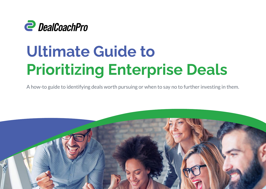

# **Ultimate Guide to Prioritizing Enterprise Deals**

A how-to guide to identifying deals worth pursuing or when to say no to further investing in them.

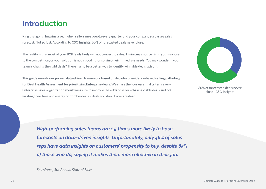### **Introduction**

Ring that gong! Imagine a year when sellers meet quota every quarter and your company surpasses sales forecast. Not so fast. According to CSO Insights, 60% of forecasted deals never close.

The reality is that most of your B2B leads likely will not convert to sales. Timing may not be right, you may lose to the competition, or your solution is not a good fit for solving their immediate needs. You may wonder if your team is chasing the right deals? There has to be a better way to identify winnable deals upfront.

**This guide reveals our proven data-driven framework based on decades of evidence-based selling pathology for Deal Health Assessment for prioritizing Enterprise deals.** We share the four essential criteria every Enterprise sales organization should measure to improve the odds of sellers chasing viable deals and not wasting their time and energy on zombie deals – deals you don't know are dead.



60% of forecasted deals never close - CSO Insights

*High-performing sales teams are 1.5 times more likely to base forecasts on data-driven insights. Unfortunately, only 46% of sales reps have data insights on customers' propensity to buy, despite 85% of those who do, saying it makes them more effective in their job.*

*Salesforce, 3rd Annual State of Sales*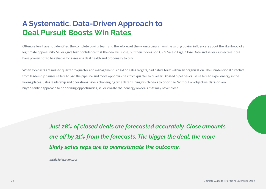# **A Systematic, Data-Driven Approach to Deal Pursuit Boosts Win Rates**

Often, sellers have not identified the complete buying team and therefore get the wrong signals from the wrong buying influencers about the likelihood of a legitimate opportunity. Sellers give high confidence that the deal will close, but then it does not. CRM Sales Stage, Close Date and sellers subjective input have proven not to be reliable for assessing deal health and propensity to buy.

When forecasts are missed quarter to quarter and management is rigid on sales targets, bad habits form within an organization. The unintentional directive from leadership causes sellers to pad the pipeline and move opportunities from quarter to quarter. Bloated pipelines cause sellers to expel energy in the wrong places. Sales leadership and operations have a challenging time determining which deals to prioritize. Without an objective, data-driven buyer-centric approach to prioritizing opportunities, sellers waste their energy on deals that may never close.

> *Just 28% of closed deals are forecasted accurately. Close amounts are off by 31% from the forecasts. The bigger the deal, the more likely sales reps are to overestimate the outcome.*

*InsideSales.com Labs*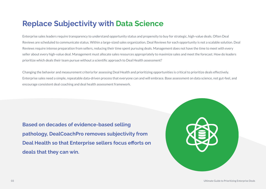### **Replace Subjectivity with Data Science**

Enterprise sales leaders require transparency to understand opportunity status and propensity to buy for strategic, high-value deals. Often Deal Reviews are scheduled to communicate status. Within a large-sized sales organization, Deal Reviews for each opportunity is not a scalable solution. Deal Reviews require intense preparation from sellers, reducing their time spent pursuing deals. Management does not have the time to meet with every seller about every high-value deal. Management must allocate sales resources appropriately to maximize sales and meet the forecast. How do leaders prioritize which deals their team pursue without a scientific approach to Deal Health assessment?

Changing the behavior and measurement criteria for assessing Deal Health and prioritizing opportunities is critical to prioritize deals effectively. Enterprise sales need a simple, repeatable data-driven process that everyone can and will embrace. Base assessment on data science, not gut-feel, and encourage consistent deal coaching and deal health assessment framework.

**Based on decades of evidence-based selling pathology, DealCoachPro removes subjectivity from Deal Health so that Enterprise sellers focus efforts on deals that they can win.** 

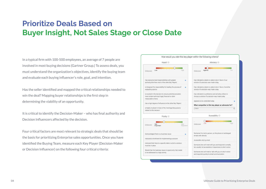# **Prioritize Deals Based on Buyer Insight, Not Sales Stage or Close Date**

In a typical firm with 100-500 employees, an average of 7 people are involved in most buying decisions (Gartner Group.) To assess deals, you must understand the organization's objectives, identify the buying team and evaluate each buying influencer's role, goal, and intention.

Has the seller identified and mapped the critical relationships needed to win the deal? Mapping buyer relationships is the first step in determining the viability of an opportunity.

It is critical to identify the Decision-Maker – who has final authority and Decision Influencers affected by the decision.

Four critical factors are most relevant to strategic deals that should be the basis for prioritizing Enterprise sales opportunities. Once you have identified the Buying Team, measure each Key Player (Decision-Maker or Decision Influencer) on the following four critical criteria:

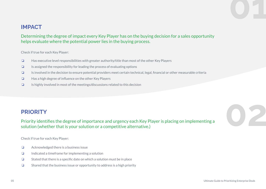### **IMPACT**

Determining the degree of impact every Key Player has on the buying decision for a sales opportunity helps evaluate where the potential power lies in the buying process.

Check if true for each Key Player:

- ❏ Has executive level responsibilities with greater authority/title than most of the other Key Players
- ❏ Is assigned the responsibility for leading the process of evaluating options
- ❏ Is involved in the decision to ensure potential providers meet certain technical, legal, financial or other measurable criteria
- ❏ Has a high degree of influence on the other Key Players
- ❏ Is highly involved in most of the meetings/discussions related to this decision

**PRIORITY**<br>Priority identifies the degree of importance and urgency each Key Player is placing on implementing a<br>solution (whether that is your solution or a competitive alternative.) Priority identifies the degree of importance and urgency each Key Player is placing on implementing a solution (whether that is your solution or a competitive alternative.)

Check if true for each Key Player:

- ❏ Acknowledged there is a business issue
- ❏ Indicated a timeframe for implementing a solution
- ❏ Stated that there is a specific date on which a solution must be in place
- ❏ Shared that the business issue or opportunity to address is a high priority

**01**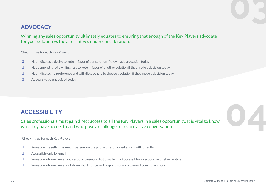### **ADVOCACY**

Winning any sales opportunity ultimately equates to ensuring that enough of the Key Players advocate for your solution vs the alternatives under consideration.

Check if true for each Key Player:

- ❏ Has indicated a desire to vote in favor of our solution if they made a decision today
- ❏ Has demonstrated a willingness to vote in favor of another solution if they made a decision today
- ❏ Has indicated no preference and will allow others to choose a solution if they made a decision today
- ❏ Appears to be undecided today

**ACCESSIBILITY**<br>Sales professionals must gain direct access to all the Key Players in a sales opportunity. It is vital to know<br>who they have access to and who pose a challenge to secure a live conversation. Sales professionals must gain direct access to all the Key Players in a sales opportunity. It is vital to know who they have access to and who pose a challenge to secure a live conversation.

Check if true for each Key Player:

- ❏ Someone the seller has met in person, on the phone or exchanged emails with directly
- ❏ Accessible only by email
- ❏ Someone who will meet and respond to emails, but usually is not accessible or responsive on short notice
- ❏ Someone who will meet or talk on short notice and responds quickly to email communications

**03**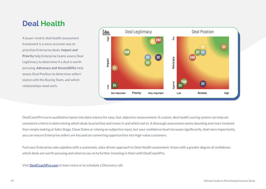## **Deal Health**

A buyer-centric deal health assessment framework is a more accurate way to prioritize Enterprise deals. **Impact and Priority** help Enterprise teams assess Deal Legitimacy to determine if a deal is worth pursuing. **Advocacy and Accessibility** help assess Deal Position to determine sellers' stance with the Buying Team, and which relationships need work.



DealCoachPro turns qualitative inputs into data science for easy, fast, objective measurement. A custom, deal health scoring system can help set consistent criteria in determining which deals to prioritize and invest in and which not to. A thorough assessment seems daunting and more involved than simply looking at Sales Stage, Close Dates or relying on subjective input, but your confidence level increases significantly. And more importantly, you can ensure Enterprise sellers are focused on converting opportunities into high-value customers.

Fuel your Enterprise sales pipeline with a systematic, data-driven approach to Deal Health assessment. Know with a greater degree of confidence which deals are worth pursuing and when to say no to further investing in them with DealCoachPro.

Visit **[DealCoachPro.com](https://dealcoachpro.com/deal-rooms/)** to learn more or to schedule a Discovery call.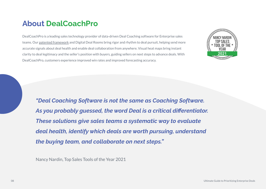### **About DealCoachPro**

DealCoachPro is a leading sales technology provider of data-driven Deal Coaching software for Enterprise sales teams. Our [patented framework](https://dealcoachpro.com/deal-rooms/) and Digital Deal Rooms bring rigor and rhythm to deal pursuit, helping send more accurate signals about deal health and enable deal collaboration from anywhere. Visual heat maps bring instant clarity to deal legitimacy and the seller's position with buyers, guiding sellers on next steps to advance deals. With DealCoachPro, customers experience improved win rates and improved forecasting accuracy.



*"Deal Coaching Software is not the same as Coaching Software. As you probably guessed, the word Deal is a critical differentiator. These solutions give sales teams a systematic way to evaluate deal health, identify which deals are worth pursuing, understand the buying team, and collaborate on next steps."*

Nancy Nardin, Top Sales Tools of the Year 2021